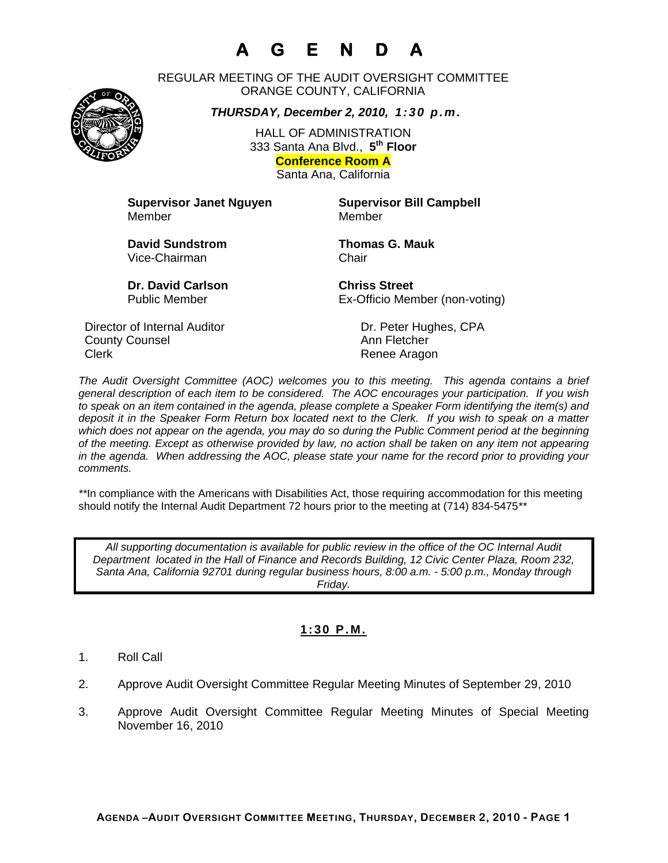# **A G E N D A**

REGULAR MEETING OF THE AUDIT OVERSIGHT COMMITTEE ORANGE COUNTY, CALIFORNIA

*THURSDAY, December 2, 2010, 1:30 p.m.*

HALL OF ADMINISTRATION 333 Santa Ana Blvd., **5th Floor Conference Room A**  Santa Ana, California

**Supervisor Janet Nguyen Supervisor Bill Campbell** Member Member

**David Sundstrom Thomas G. Mauk**  Vice-Chairman Chair

**Dr. David Carlson Chriss Street** 

Public Member Ex-Officio Member (non-voting)

Director of Internal Auditor Dr. Peter Hughes, CPA **County Counsel Countillist County Counsel Ann Fletcher** Clerk **Clerk Renee Aragon** 

*The Audit Oversight Committee (AOC) welcomes you to this meeting. This agenda contains a brief general description of each item to be considered. The AOC encourages your participation. If you wish to speak on an item contained in the agenda, please complete a Speaker Form identifying the item(s) and deposit it in the Speaker Form Return box located next to the Clerk. If you wish to speak on a matter which does not appear on the agenda, you may do so during the Public Comment period at the beginning of the meeting. Except as otherwise provided by law, no action shall be taken on any item not appearing in the agenda. When addressing the AOC, please state your name for the record prior to providing your comments.* 

*\*\**In compliance with the Americans with Disabilities Act, those requiring accommodation for this meeting should notify the Internal Audit Department 72 hours prior to the meeting at (714) 834-5475*\*\** 

*All supporting documentation is available for public review in the office of the OC Internal Audit Department located in the Hall of Finance and Records Building, 12 Civic Center Plaza, Room 232, Santa Ana, California 92701 during regular business hours, 8:00 a.m. - 5:00 p.m., Monday through Friday.* 

# **1:30 P.M.**

- 1. Roll Call
- 2. Approve Audit Oversight Committee Regular Meeting Minutes of September 29, 2010
- 3. Approve Audit Oversight Committee Regular Meeting Minutes of Special Meeting November 16, 2010